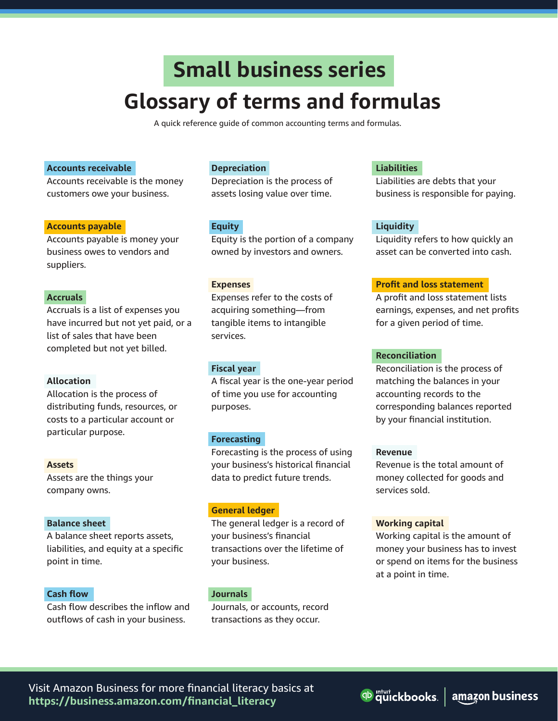# **Small business series Glossary of terms and formulas**

A quick reference guide of common accounting terms and formulas.

#### **Accounts receivable**

Accounts receivable is the money customers owe your business.

#### **Accounts payable**

Accounts payable is money your business owes to vendors and suppliers.

#### **Accruals**

Accruals is a list of expenses you have incurred but not yet paid, or a list of sales that have been completed but not yet billed.

### **Allocation**

Allocation is the process of distributing funds, resources, or costs to a particular account or particular purpose.

#### **Assets**

Assets are the things your company owns.

### **Balance sheet**

A balance sheet reports assets, liabilities, and equity at a specific point in time.

#### **Cash flow**

Cash flow describes the inflow and outflows of cash in your business.

#### **Depreciation**

Depreciation is the process of assets losing value over time.

#### **Equity**

Equity is the portion of a company owned by investors and owners.

#### **Expenses**

Expenses refer to the costs of acquiring something—from tangible items to intangible services.

#### **Fiscal year**

A fiscal year is the one-year period of time you use for accounting purposes.

#### **Forecasting**

Forecasting is the process of using your business's historical financial data to predict future trends.

#### **General ledger**

The general ledger is a record of your business's financial transactions over the lifetime of your business.

#### **Journals**

Journals, or accounts, record transactions as they occur.

#### **Liabilities**

Liabilities are debts that your business is responsible for paying.

#### **Liquidity**

Liquidity refers to how quickly an asset can be converted into cash.

#### **Profit and loss statement**

A profit and loss statement lists earnings, expenses, and net profits for a given period of time.

#### **Reconciliation**

Reconciliation is the process of matching the balances in your accounting records to the corresponding balances reported by your financial institution.

#### **Revenue**

Revenue is the total amount of money collected for goods and services sold.

#### **Working capital**

Working capital is the amount of money your business has to invest or spend on items for the business at a point in time.

qb mturt ckbooks. amazon business